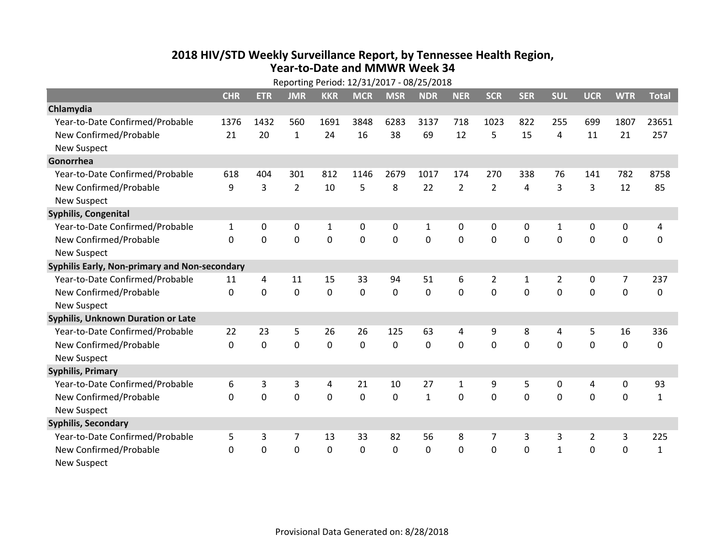## **2018 HIV /STD Weekl y Surveillance Report, b y Tennessee Health Region, Year‐to‐Date and MMWR Week 34**

|                                               | Reporting Period: 12/31/2017 - 08/25/2018 |             |                |             |             |                |                |                |                |                |                |                |                  |              |
|-----------------------------------------------|-------------------------------------------|-------------|----------------|-------------|-------------|----------------|----------------|----------------|----------------|----------------|----------------|----------------|------------------|--------------|
|                                               | <b>CHR</b>                                | <b>ETR</b>  | <b>JMR</b>     | <b>KKR</b>  | <b>MCR</b>  | <b>MSR</b>     | <b>NDR</b>     | <b>NER</b>     | <b>SCR</b>     | <b>SER</b>     | <b>SUL</b>     | <b>UCR</b>     | <b>WTR</b>       | <b>Total</b> |
| Chlamydia                                     |                                           |             |                |             |             |                |                |                |                |                |                |                |                  |              |
| Year-to-Date Confirmed/Probable               | 1376                                      | 1432        | 560            | 1691        | 3848        | 6283           | 3137           | 718            | 1023           | 822            | 255            | 699            | 1807             | 23651        |
| New Confirmed/Probable                        | 21                                        | 20          | $\mathbf{1}$   | 24          | 16          | 38             | 69             | 12             | 5              | 15             | 4              | 11             | 21               | 257          |
| <b>New Suspect</b>                            |                                           |             |                |             |             |                |                |                |                |                |                |                |                  |              |
| Gonorrhea                                     |                                           |             |                |             |             |                |                |                |                |                |                |                |                  |              |
| Year-to-Date Confirmed/Probable               | 618                                       | 404         | 301            | 812         | 1146        | 2679           | 1017           | 174            | 270            | 338            | 76             | 141            | 782              | 8758         |
| New Confirmed/Probable                        | 9                                         | 3           | $\overline{2}$ | 10          | 5           | 8              | 22             | $\overline{2}$ | $\overline{2}$ | 4              | $\overline{3}$ | 3              | 12               | 85           |
| <b>New Suspect</b>                            |                                           |             |                |             |             |                |                |                |                |                |                |                |                  |              |
| Syphilis, Congenital                          |                                           |             |                |             |             |                |                |                |                |                |                |                |                  |              |
| Year-to-Date Confirmed/Probable               | $\mathbf{1}$                              | 0           | 0              | 1           | 0           | 0              | $\mathbf{1}$   | 0              | 0              | 0              | 1              | 0              | 0                | 4            |
| New Confirmed/Probable                        | $\Omega$                                  | $\Omega$    | $\mathbf 0$    | $\mathbf 0$ | $\mathbf 0$ | $\overline{0}$ | $\overline{0}$ | 0              | $\mathbf 0$    | $\mathbf 0$    | $\mathbf{0}$   | $\mathbf 0$    | $\mathbf 0$      | $\mathbf 0$  |
| <b>New Suspect</b>                            |                                           |             |                |             |             |                |                |                |                |                |                |                |                  |              |
| Syphilis Early, Non-primary and Non-secondary |                                           |             |                |             |             |                |                |                |                |                |                |                |                  |              |
| Year-to-Date Confirmed/Probable               | 11                                        | 4           | 11             | 15          | 33          | 94             | 51             | 6              | $\overline{2}$ | $\mathbf{1}$   | $\overline{2}$ | $\mathbf 0$    | 7                | 237          |
| New Confirmed/Probable                        | $\mathbf{0}$                              | $\mathbf 0$ | $\mathbf 0$    | 0           | $\mathbf 0$ | $\mathbf 0$    | $\mathbf{0}$   | 0              | $\Omega$       | $\overline{0}$ | $\mathbf{0}$   | $\mathbf 0$    | $\mathbf 0$      | 0            |
| <b>New Suspect</b>                            |                                           |             |                |             |             |                |                |                |                |                |                |                |                  |              |
| <b>Syphilis, Unknown Duration or Late</b>     |                                           |             |                |             |             |                |                |                |                |                |                |                |                  |              |
| Year-to-Date Confirmed/Probable               | 22                                        | 23          | 5              | 26          | 26          | 125            | 63             | 4              | 9              | 8              | 4              | 5              | 16               | 336          |
| New Confirmed/Probable                        | $\Omega$                                  | $\mathbf 0$ | $\mathbf 0$    | $\mathbf 0$ | $\mathbf 0$ | $\mathbf 0$    | $\mathbf 0$    | $\Omega$       | $\Omega$       | $\Omega$       | $\Omega$       | $\Omega$       | $\Omega$         | $\Omega$     |
| <b>New Suspect</b>                            |                                           |             |                |             |             |                |                |                |                |                |                |                |                  |              |
| <b>Syphilis, Primary</b>                      |                                           |             |                |             |             |                |                |                |                |                |                |                |                  |              |
| Year-to-Date Confirmed/Probable               | 6                                         | 3           | 3              | 4           | 21          | 10             | 27             | $\mathbf{1}$   | 9              | 5              | $\mathbf 0$    | 4              | $\boldsymbol{0}$ | 93           |
| New Confirmed/Probable                        | $\Omega$                                  | $\mathbf 0$ | $\mathbf 0$    | $\mathbf 0$ | $\mathbf 0$ | $\mathbf 0$    | $\mathbf{1}$   | 0              | $\mathbf 0$    | $\mathbf 0$    | $\mathbf 0$    | $\mathbf 0$    | $\mathbf 0$      | $\mathbf{1}$ |
| <b>New Suspect</b>                            |                                           |             |                |             |             |                |                |                |                |                |                |                |                  |              |
| <b>Syphilis, Secondary</b>                    |                                           |             |                |             |             |                |                |                |                |                |                |                |                  |              |
| Year-to-Date Confirmed/Probable               | 5                                         | 3           | 7              | 13          | 33          | 82             | 56             | 8              | 7              | 3              | 3              | $\overline{2}$ | $\mathsf 3$      | 225          |
| New Confirmed/Probable                        | 0                                         | $\mathbf 0$ | $\mathbf 0$    | 0           | $\mathbf 0$ | 0              | $\mathbf 0$    | 0              | $\mathbf 0$    | 0              | $\mathbf{1}$   | $\mathbf 0$    | $\mathbf 0$      | 1            |
| <b>New Suspect</b>                            |                                           |             |                |             |             |                |                |                |                |                |                |                |                  |              |